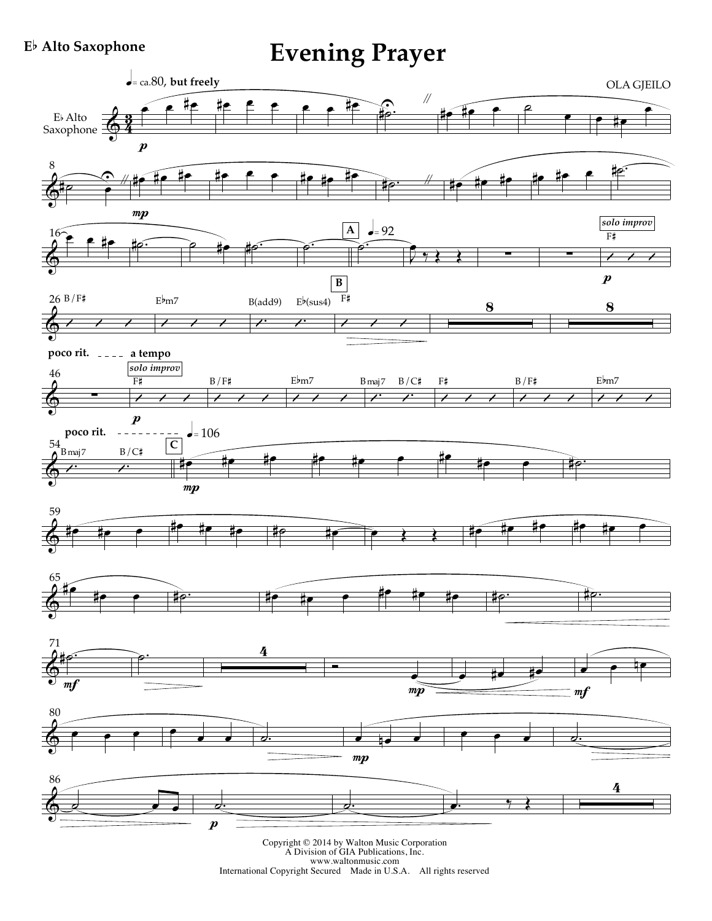## **E**b **Alto Saxophone**

**Evening Prayer**



Copyright © 2014 by Walton Music Corporation<br>A Division of GIA Publications, Inc.<br>www.waltonmusic.com<br>International Copyright Secured Made in U.S.A. All rights reserved